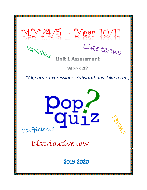$M_{s}^{9}$  $V^{9}$  $+$  $M_{s}^{9}$  –  $\frac{10}{11}$ <br>United that



Coefficients

<u> Biziki biziki p</u>

Tenders

**Unit 1 Assessment** 

**Week 42** 

*"Algebraic expressions, Substitutions, Like terms,* 

 $\frac{1}{12}$ 

2019-2020

Distributive law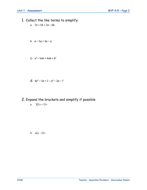- 1. Collect the like terms to simplify:
	- a. 7*a* + 5*b* + 2*a* 6*b*
	- b. *p* 5*q* + 3*p q*
	- **C.**  $a^2 5ab + 4ab + b^2$
	- d.  $4p^2 5p + 1 p^2 2p 7$
- 2. Expand the brackets and simplify if possible a.  $3(2x+1)=$

**b**.  $a(a-b)=$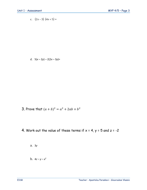c.  $(2x-3)(4x+5) =$ 

d.  $5(x-2y) - 2(2x-3y) =$ 

- 3. Prove that  $(a + b)^2 = a^2 + 2ab + b^2$
- 4. Work out the value of these terms if  $x = 4$ ,  $y = 5$  and  $z = -2$

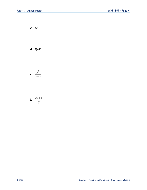$c. \quad 3z^2$ 

d. 
$$
3(-z)^2
$$

$$
e. \ \frac{y^2}{x-z}
$$

$$
f. \quad \frac{2x+z}{y}
$$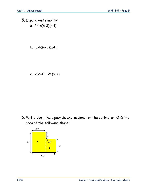- 5. Expand and simplify: a. 5b-a(a-3)(a-1)
	- b. (a-b)(a-b)(a-b)

c.  $x(x-4) - 2x(x+1)$ 

6. Write down the algebraic expressions for the perimeter AND the area of the following shape: